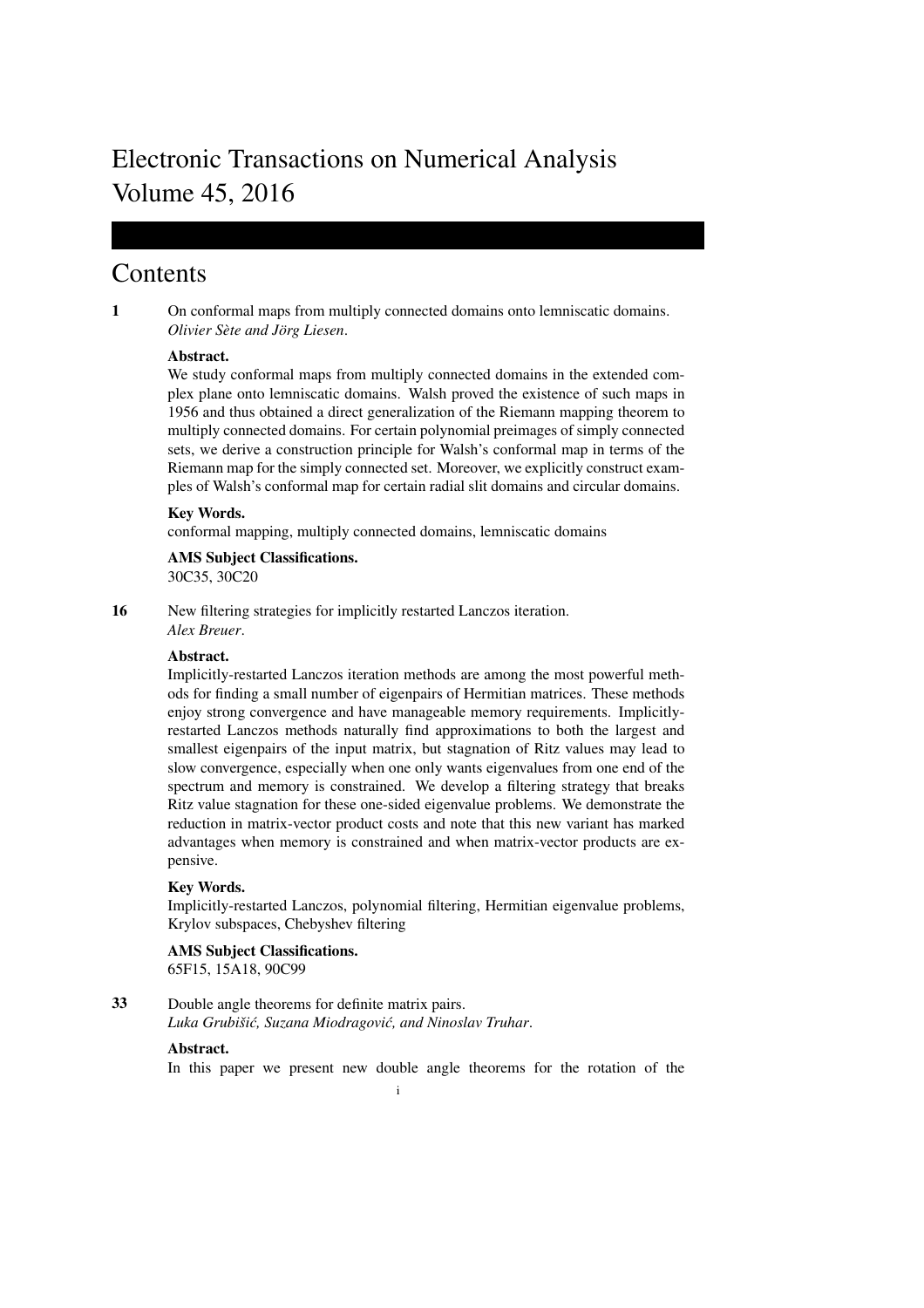# Electronic Transactions on Numerical Analysis Volume 45, 2016

## Contents

1 On conformal maps from multiply connected domains onto lemniscatic domains. *Olivier Sète and Jörg Liesen.* 

## Abstract.

We study conformal maps from multiply connected domains in the extended complex plane onto lemniscatic domains. Walsh proved the existence of such maps in 1956 and thus obtained a direct generalization of the Riemann mapping theorem to multiply connected domains. For certain polynomial preimages of simply connected sets, we derive a construction principle for Walsh's conformal map in terms of the Riemann map for the simply connected set. Moreover, we explicitly construct examples of Walsh's conformal map for certain radial slit domains and circular domains.

#### Key Words.

conformal mapping, multiply connected domains, lemniscatic domains

## AMS Subject Classifications.

30C35, 30C20

16 New filtering strategies for implicitly restarted Lanczos iteration. *Alex Breuer*.

#### Abstract.

Implicitly-restarted Lanczos iteration methods are among the most powerful methods for finding a small number of eigenpairs of Hermitian matrices. These methods enjoy strong convergence and have manageable memory requirements. Implicitlyrestarted Lanczos methods naturally find approximations to both the largest and smallest eigenpairs of the input matrix, but stagnation of Ritz values may lead to slow convergence, especially when one only wants eigenvalues from one end of the spectrum and memory is constrained. We develop a filtering strategy that breaks Ritz value stagnation for these one-sided eigenvalue problems. We demonstrate the reduction in matrix-vector product costs and note that this new variant has marked advantages when memory is constrained and when matrix-vector products are expensive.

#### Key Words.

Implicitly-restarted Lanczos, polynomial filtering, Hermitian eigenvalue problems, Krylov subspaces, Chebyshev filtering

## AMS Subject Classifications. 65F15, 15A18, 90C99

33 Double angle theorems for definite matrix pairs. *Luka Grubisiˇ c, Suzana Miodragovi ´ c, and Ninoslav Truhar ´* .

#### Abstract.

In this paper we present new double angle theorems for the rotation of the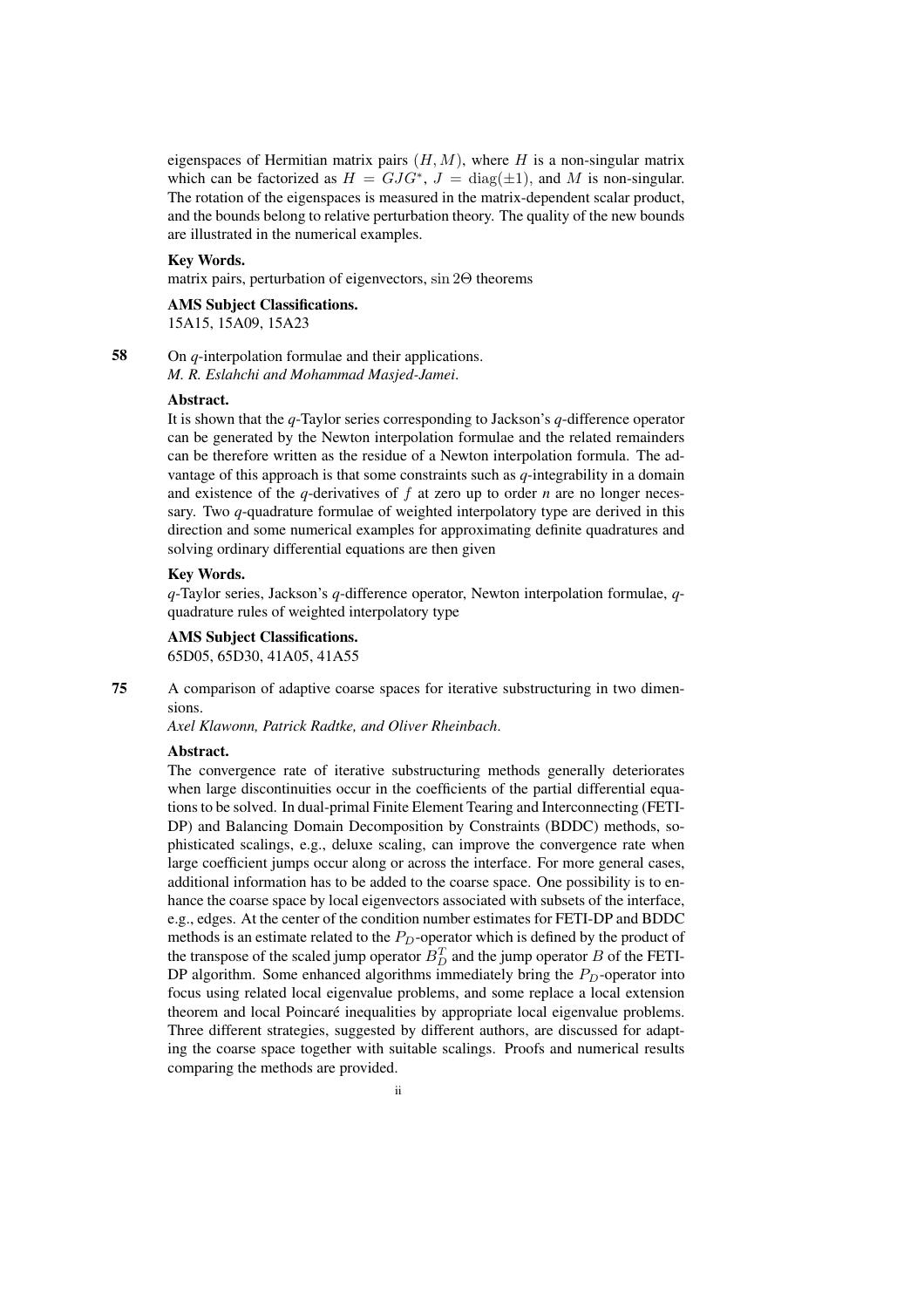eigenspaces of Hermitian matrix pairs  $(H, M)$ , where H is a non-singular matrix which can be factorized as  $H = GJG^*$ ,  $J = \text{diag}(\pm 1)$ , and M is non-singular. The rotation of the eigenspaces is measured in the matrix-dependent scalar product, and the bounds belong to relative perturbation theory. The quality of the new bounds are illustrated in the numerical examples.

#### Key Words.

matrix pairs, perturbation of eigenvectors, sin 2Θ theorems

## AMS Subject Classifications.

15A15, 15A09, 15A23

58 On *q*-interpolation formulae and their applications. *M. R. Eslahchi and Mohammad Masjed-Jamei*.

#### Abstract.

It is shown that the *q*-Taylor series corresponding to Jackson's *q*-difference operator can be generated by the Newton interpolation formulae and the related remainders can be therefore written as the residue of a Newton interpolation formula. The advantage of this approach is that some constraints such as *q*-integrability in a domain and existence of the  $q$ -derivatives of  $f$  at zero up to order  $n$  are no longer necessary. Two *q*-quadrature formulae of weighted interpolatory type are derived in this direction and some numerical examples for approximating definite quadratures and solving ordinary differential equations are then given

#### Key Words.

*q*-Taylor series, Jackson's *q*-difference operator, Newton interpolation formulae, *q*quadrature rules of weighted interpolatory type

## AMS Subject Classifications.

65D05, 65D30, 41A05, 41A55

75 A comparison of adaptive coarse spaces for iterative substructuring in two dimensions.

*Axel Klawonn, Patrick Radtke, and Oliver Rheinbach*.

#### Abstract.

The convergence rate of iterative substructuring methods generally deteriorates when large discontinuities occur in the coefficients of the partial differential equations to be solved. In dual-primal Finite Element Tearing and Interconnecting (FETI-DP) and Balancing Domain Decomposition by Constraints (BDDC) methods, sophisticated scalings, e.g., deluxe scaling, can improve the convergence rate when large coefficient jumps occur along or across the interface. For more general cases, additional information has to be added to the coarse space. One possibility is to enhance the coarse space by local eigenvectors associated with subsets of the interface, e.g., edges. At the center of the condition number estimates for FETI-DP and BDDC methods is an estimate related to the  $P_D$ -operator which is defined by the product of the transpose of the scaled jump operator  $B_D^T$  and the jump operator  $B$  of the FETI-DP algorithm. Some enhanced algorithms immediately bring the  $P_D$ -operator into focus using related local eigenvalue problems, and some replace a local extension theorem and local Poincaré inequalities by appropriate local eigenvalue problems. Three different strategies, suggested by different authors, are discussed for adapting the coarse space together with suitable scalings. Proofs and numerical results comparing the methods are provided.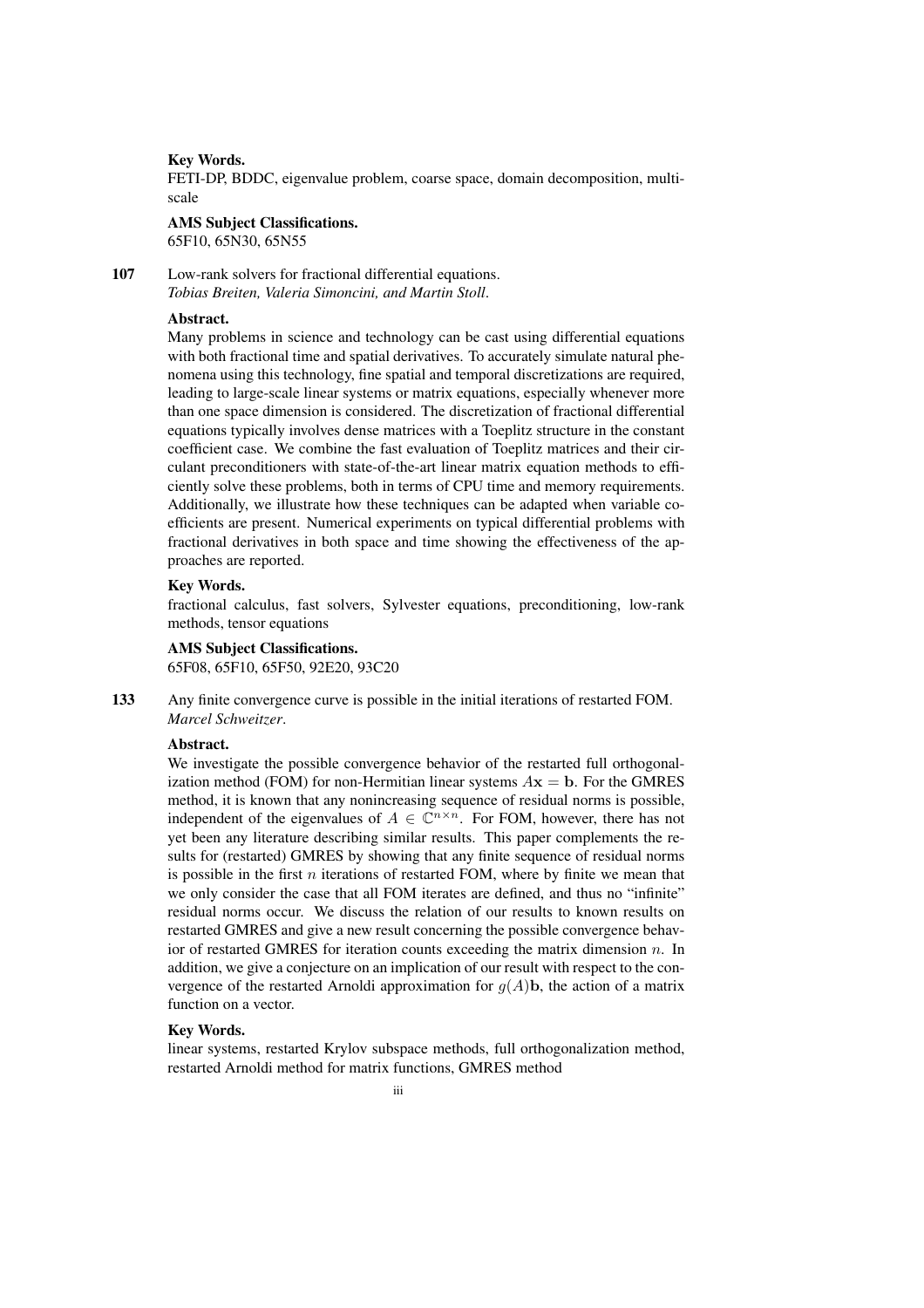#### Key Words.

FETI-DP, BDDC, eigenvalue problem, coarse space, domain decomposition, multiscale

#### AMS Subject Classifications.

65F10, 65N30, 65N55

107 Low-rank solvers for fractional differential equations. *Tobias Breiten, Valeria Simoncini, and Martin Stoll*.

## Abstract.

Many problems in science and technology can be cast using differential equations with both fractional time and spatial derivatives. To accurately simulate natural phenomena using this technology, fine spatial and temporal discretizations are required, leading to large-scale linear systems or matrix equations, especially whenever more than one space dimension is considered. The discretization of fractional differential equations typically involves dense matrices with a Toeplitz structure in the constant coefficient case. We combine the fast evaluation of Toeplitz matrices and their circulant preconditioners with state-of-the-art linear matrix equation methods to efficiently solve these problems, both in terms of CPU time and memory requirements. Additionally, we illustrate how these techniques can be adapted when variable coefficients are present. Numerical experiments on typical differential problems with fractional derivatives in both space and time showing the effectiveness of the approaches are reported.

#### Key Words.

fractional calculus, fast solvers, Sylvester equations, preconditioning, low-rank methods, tensor equations

## AMS Subject Classifications.

65F08, 65F10, 65F50, 92E20, 93C20

133 Any finite convergence curve is possible in the initial iterations of restarted FOM. *Marcel Schweitzer*.

#### Abstract.

We investigate the possible convergence behavior of the restarted full orthogonalization method (FOM) for non-Hermitian linear systems  $A\mathbf{x} = \mathbf{b}$ . For the GMRES method, it is known that any nonincreasing sequence of residual norms is possible, independent of the eigenvalues of  $A \in \mathbb{C}^{n \times n}$ . For FOM, however, there has not yet been any literature describing similar results. This paper complements the results for (restarted) GMRES by showing that any finite sequence of residual norms is possible in the first  $n$  iterations of restarted FOM, where by finite we mean that we only consider the case that all FOM iterates are defined, and thus no "infinite" residual norms occur. We discuss the relation of our results to known results on restarted GMRES and give a new result concerning the possible convergence behavior of restarted GMRES for iteration counts exceeding the matrix dimension  $n$ . In addition, we give a conjecture on an implication of our result with respect to the convergence of the restarted Arnoldi approximation for  $g(A)$ **b**, the action of a matrix function on a vector.

#### Key Words.

linear systems, restarted Krylov subspace methods, full orthogonalization method, restarted Arnoldi method for matrix functions, GMRES method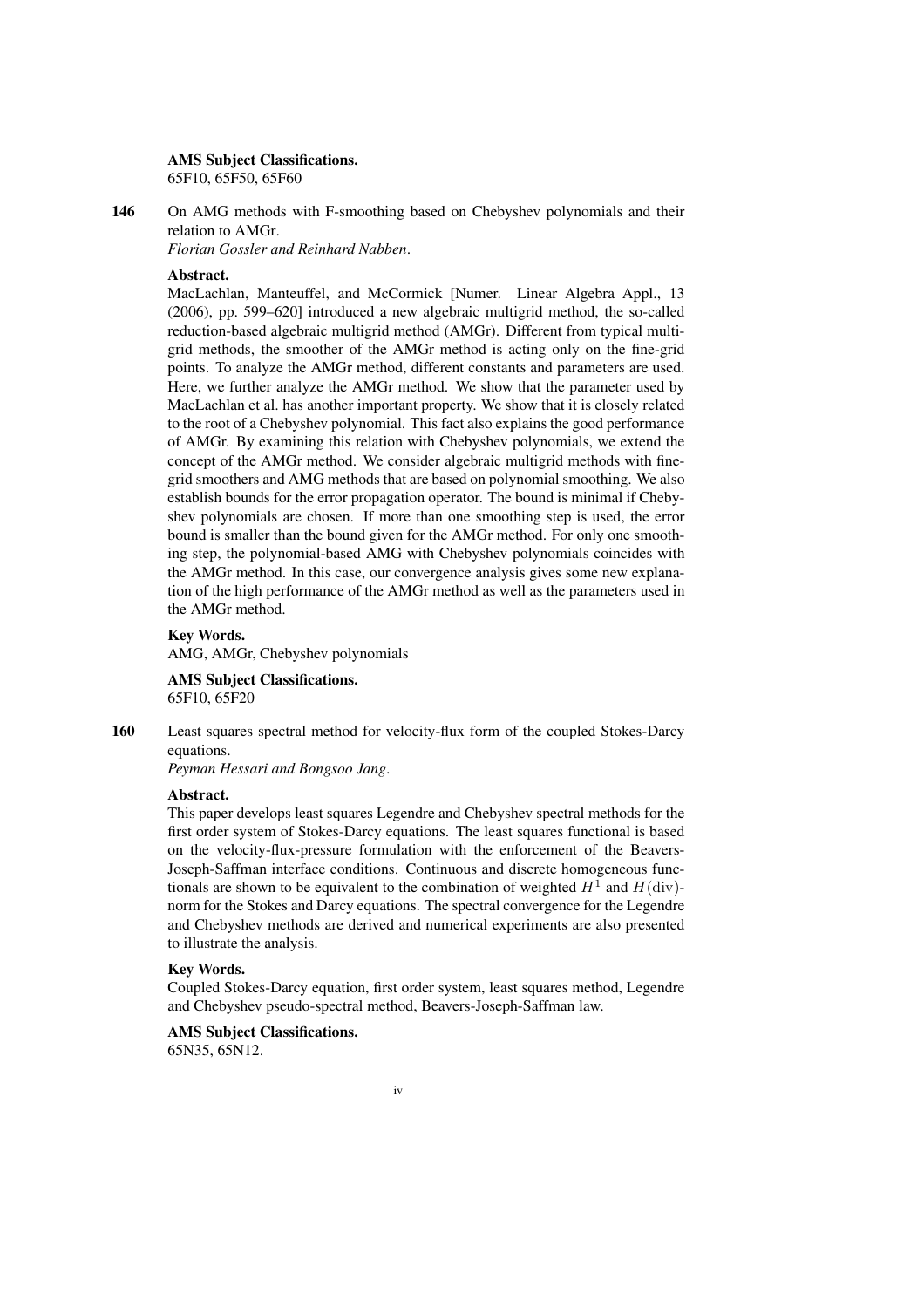#### AMS Subject Classifications.

65F10, 65F50, 65F60

146 On AMG methods with F-smoothing based on Chebyshev polynomials and their relation to AMGr.

*Florian Gossler and Reinhard Nabben*.

### Abstract.

MacLachlan, Manteuffel, and McCormick [Numer. Linear Algebra Appl., 13 (2006), pp. 599–620] introduced a new algebraic multigrid method, the so-called reduction-based algebraic multigrid method (AMGr). Different from typical multigrid methods, the smoother of the AMGr method is acting only on the fine-grid points. To analyze the AMGr method, different constants and parameters are used. Here, we further analyze the AMGr method. We show that the parameter used by MacLachlan et al. has another important property. We show that it is closely related to the root of a Chebyshev polynomial. This fact also explains the good performance of AMGr. By examining this relation with Chebyshev polynomials, we extend the concept of the AMGr method. We consider algebraic multigrid methods with finegrid smoothers and AMG methods that are based on polynomial smoothing. We also establish bounds for the error propagation operator. The bound is minimal if Chebyshev polynomials are chosen. If more than one smoothing step is used, the error bound is smaller than the bound given for the AMGr method. For only one smoothing step, the polynomial-based AMG with Chebyshev polynomials coincides with the AMGr method. In this case, our convergence analysis gives some new explanation of the high performance of the AMGr method as well as the parameters used in the AMGr method.

#### Key Words.

AMG, AMGr, Chebyshev polynomials

## AMS Subject Classifications.

65F10, 65F20

160 Least squares spectral method for velocity-flux form of the coupled Stokes-Darcy equations.

*Peyman Hessari and Bongsoo Jang*.

#### Abstract.

This paper develops least squares Legendre and Chebyshev spectral methods for the first order system of Stokes-Darcy equations. The least squares functional is based on the velocity-flux-pressure formulation with the enforcement of the Beavers-Joseph-Saffman interface conditions. Continuous and discrete homogeneous functionals are shown to be equivalent to the combination of weighted  $H^1$  and  $H(\text{div})$ norm for the Stokes and Darcy equations. The spectral convergence for the Legendre and Chebyshev methods are derived and numerical experiments are also presented to illustrate the analysis.

#### Key Words.

Coupled Stokes-Darcy equation, first order system, least squares method, Legendre and Chebyshev pseudo-spectral method, Beavers-Joseph-Saffman law.

## AMS Subject Classifications.

65N35, 65N12.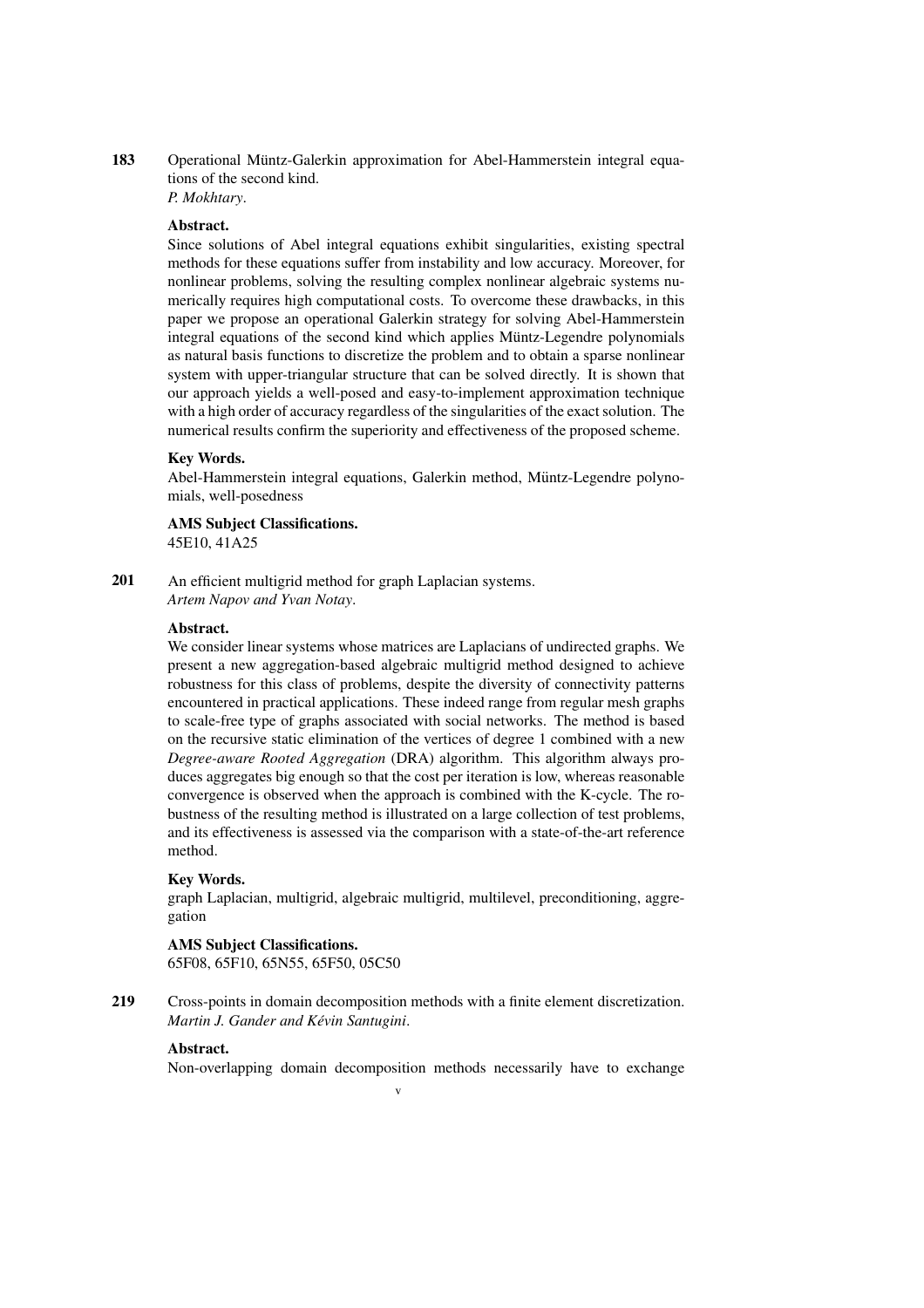183 Operational Müntz-Galerkin approximation for Abel-Hammerstein integral equations of the second kind.

*P. Mokhtary*.

#### Abstract.

Since solutions of Abel integral equations exhibit singularities, existing spectral methods for these equations suffer from instability and low accuracy. Moreover, for nonlinear problems, solving the resulting complex nonlinear algebraic systems numerically requires high computational costs. To overcome these drawbacks, in this paper we propose an operational Galerkin strategy for solving Abel-Hammerstein integral equations of the second kind which applies Müntz-Legendre polynomials as natural basis functions to discretize the problem and to obtain a sparse nonlinear system with upper-triangular structure that can be solved directly. It is shown that our approach yields a well-posed and easy-to-implement approximation technique with a high order of accuracy regardless of the singularities of the exact solution. The numerical results confirm the superiority and effectiveness of the proposed scheme.

#### Key Words.

Abel-Hammerstein integral equations, Galerkin method, Müntz-Legendre polynomials, well-posedness

AMS Subject Classifications. 45E10, 41A25

201 An efficient multigrid method for graph Laplacian systems. *Artem Napov and Yvan Notay*.

#### Abstract.

We consider linear systems whose matrices are Laplacians of undirected graphs. We present a new aggregation-based algebraic multigrid method designed to achieve robustness for this class of problems, despite the diversity of connectivity patterns encountered in practical applications. These indeed range from regular mesh graphs to scale-free type of graphs associated with social networks. The method is based on the recursive static elimination of the vertices of degree 1 combined with a new *Degree-aware Rooted Aggregation* (DRA) algorithm. This algorithm always produces aggregates big enough so that the cost per iteration is low, whereas reasonable convergence is observed when the approach is combined with the K-cycle. The robustness of the resulting method is illustrated on a large collection of test problems, and its effectiveness is assessed via the comparison with a state-of-the-art reference method.

#### Key Words.

graph Laplacian, multigrid, algebraic multigrid, multilevel, preconditioning, aggregation

#### AMS Subject Classifications.

65F08, 65F10, 65N55, 65F50, 05C50

219 Cross-points in domain decomposition methods with a finite element discretization. *Martin J. Gander and Kevin Santugini ´* .

#### Abstract.

Non-overlapping domain decomposition methods necessarily have to exchange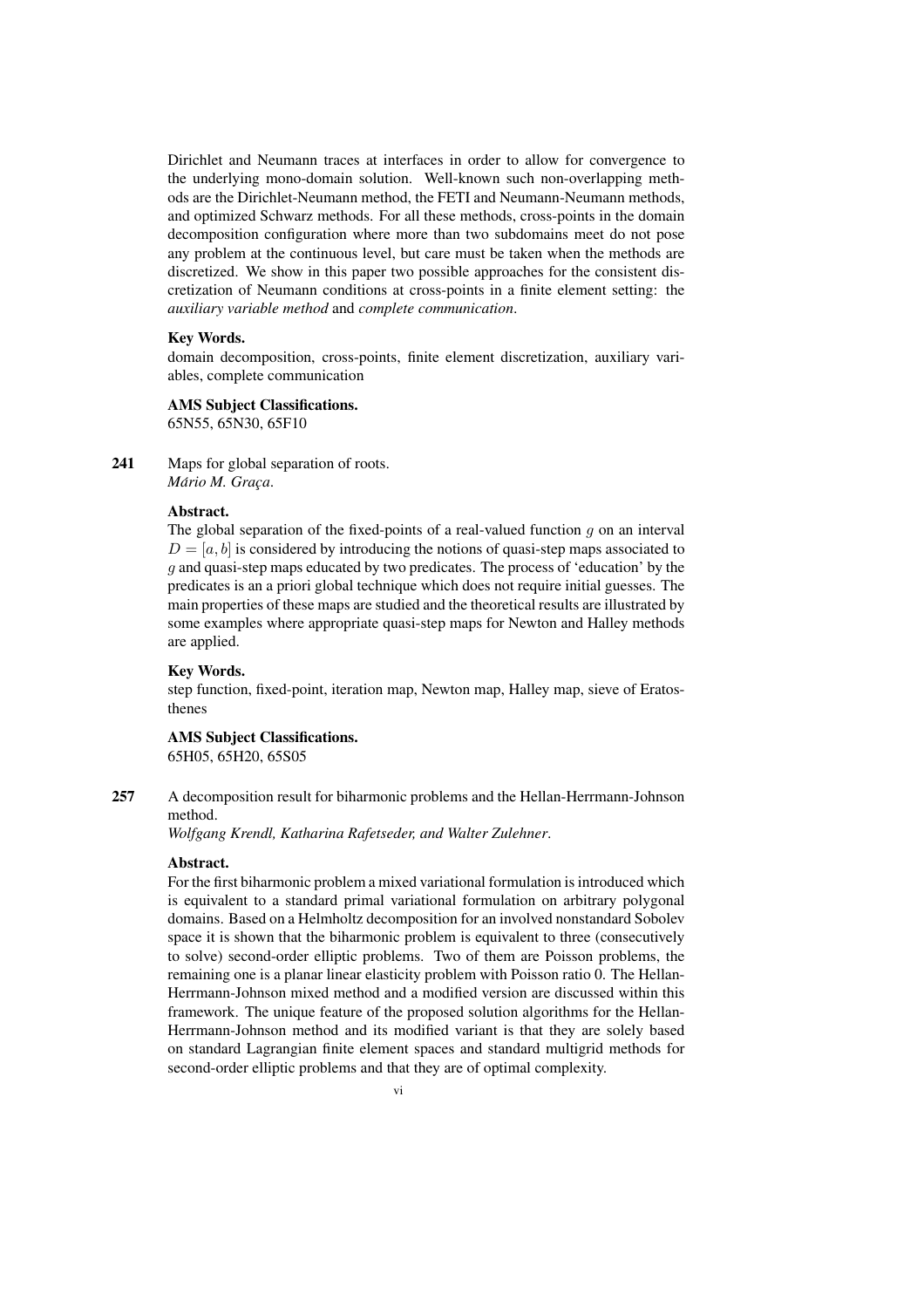Dirichlet and Neumann traces at interfaces in order to allow for convergence to the underlying mono-domain solution. Well-known such non-overlapping methods are the Dirichlet-Neumann method, the FETI and Neumann-Neumann methods, and optimized Schwarz methods. For all these methods, cross-points in the domain decomposition configuration where more than two subdomains meet do not pose any problem at the continuous level, but care must be taken when the methods are discretized. We show in this paper two possible approaches for the consistent discretization of Neumann conditions at cross-points in a finite element setting: the *auxiliary variable method* and *complete communication*.

#### Key Words.

domain decomposition, cross-points, finite element discretization, auxiliary variables, complete communication

## AMS Subject Classifications.

65N55, 65N30, 65F10

241 Maps for global separation of roots.  $Mário M. Graça.$ 

#### Abstract.

The global separation of the fixed-points of a real-valued function  $g$  on an interval  $D = [a, b]$  is considered by introducing the notions of quasi-step maps associated to g and quasi-step maps educated by two predicates. The process of 'education' by the predicates is an a priori global technique which does not require initial guesses. The main properties of these maps are studied and the theoretical results are illustrated by some examples where appropriate quasi-step maps for Newton and Halley methods are applied.

#### Key Words.

step function, fixed-point, iteration map, Newton map, Halley map, sieve of Eratosthenes

## AMS Subject Classifications. 65H05, 65H20, 65S05

257 A decomposition result for biharmonic problems and the Hellan-Herrmann-Johnson method.

*Wolfgang Krendl, Katharina Rafetseder, and Walter Zulehner*.

#### Abstract.

For the first biharmonic problem a mixed variational formulation is introduced which is equivalent to a standard primal variational formulation on arbitrary polygonal domains. Based on a Helmholtz decomposition for an involved nonstandard Sobolev space it is shown that the biharmonic problem is equivalent to three (consecutively to solve) second-order elliptic problems. Two of them are Poisson problems, the remaining one is a planar linear elasticity problem with Poisson ratio 0. The Hellan-Herrmann-Johnson mixed method and a modified version are discussed within this framework. The unique feature of the proposed solution algorithms for the Hellan-Herrmann-Johnson method and its modified variant is that they are solely based on standard Lagrangian finite element spaces and standard multigrid methods for second-order elliptic problems and that they are of optimal complexity.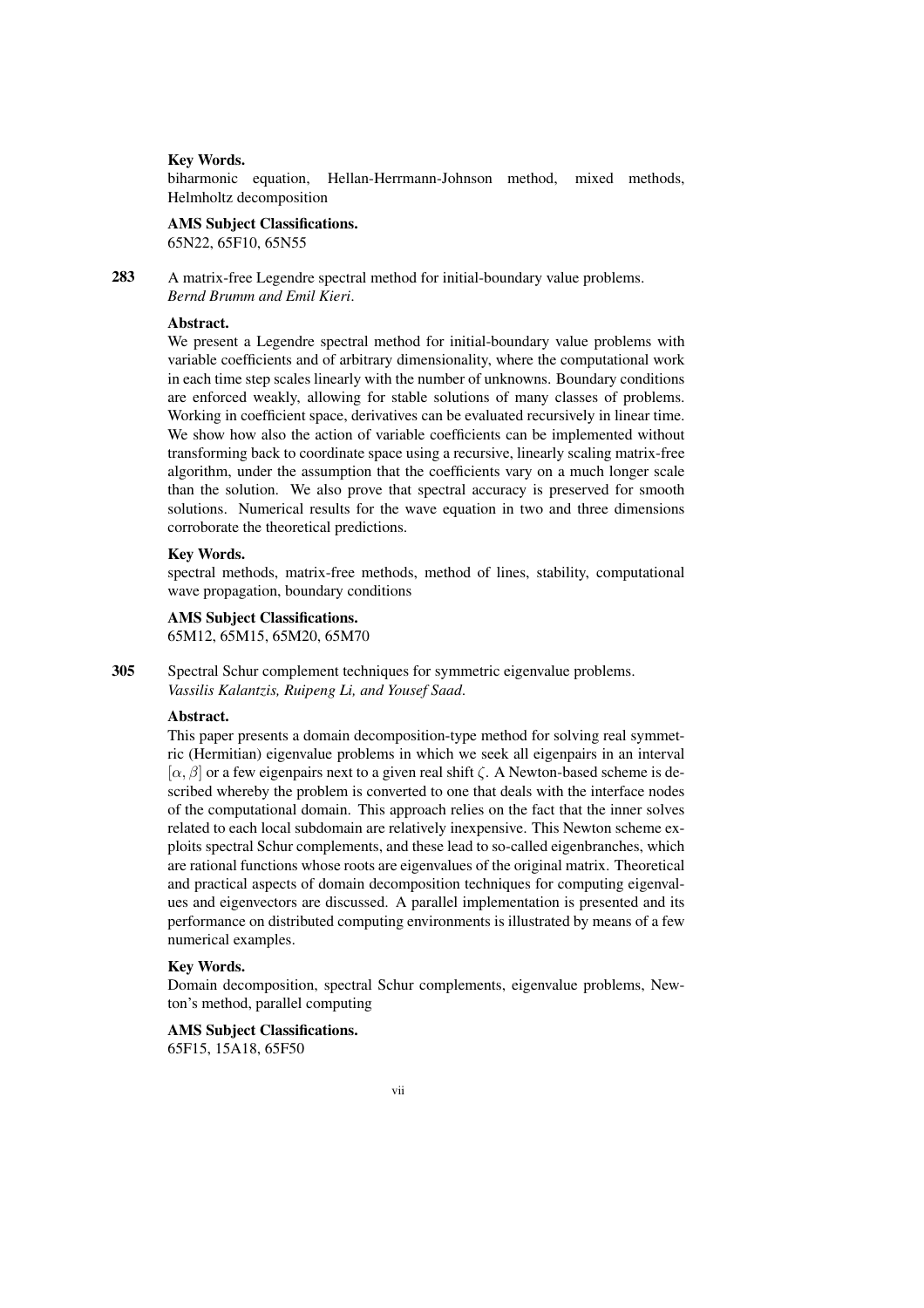#### Key Words.

biharmonic equation, Hellan-Herrmann-Johnson method, mixed methods, Helmholtz decomposition

#### AMS Subject Classifications.

65N22, 65F10, 65N55

283 A matrix-free Legendre spectral method for initial-boundary value problems. *Bernd Brumm and Emil Kieri*.

## Abstract.

We present a Legendre spectral method for initial-boundary value problems with variable coefficients and of arbitrary dimensionality, where the computational work in each time step scales linearly with the number of unknowns. Boundary conditions are enforced weakly, allowing for stable solutions of many classes of problems. Working in coefficient space, derivatives can be evaluated recursively in linear time. We show how also the action of variable coefficients can be implemented without transforming back to coordinate space using a recursive, linearly scaling matrix-free algorithm, under the assumption that the coefficients vary on a much longer scale than the solution. We also prove that spectral accuracy is preserved for smooth solutions. Numerical results for the wave equation in two and three dimensions corroborate the theoretical predictions.

#### Key Words.

spectral methods, matrix-free methods, method of lines, stability, computational wave propagation, boundary conditions

#### AMS Subject Classifications.

65M12, 65M15, 65M20, 65M70

305 Spectral Schur complement techniques for symmetric eigenvalue problems. *Vassilis Kalantzis, Ruipeng Li, and Yousef Saad*.

## Abstract.

This paper presents a domain decomposition-type method for solving real symmetric (Hermitian) eigenvalue problems in which we seek all eigenpairs in an interval  $[\alpha, \beta]$  or a few eigenpairs next to a given real shift  $\zeta$ . A Newton-based scheme is described whereby the problem is converted to one that deals with the interface nodes of the computational domain. This approach relies on the fact that the inner solves related to each local subdomain are relatively inexpensive. This Newton scheme exploits spectral Schur complements, and these lead to so-called eigenbranches, which are rational functions whose roots are eigenvalues of the original matrix. Theoretical and practical aspects of domain decomposition techniques for computing eigenvalues and eigenvectors are discussed. A parallel implementation is presented and its performance on distributed computing environments is illustrated by means of a few numerical examples.

#### Key Words.

Domain decomposition, spectral Schur complements, eigenvalue problems, Newton's method, parallel computing

### AMS Subject Classifications.

65F15, 15A18, 65F50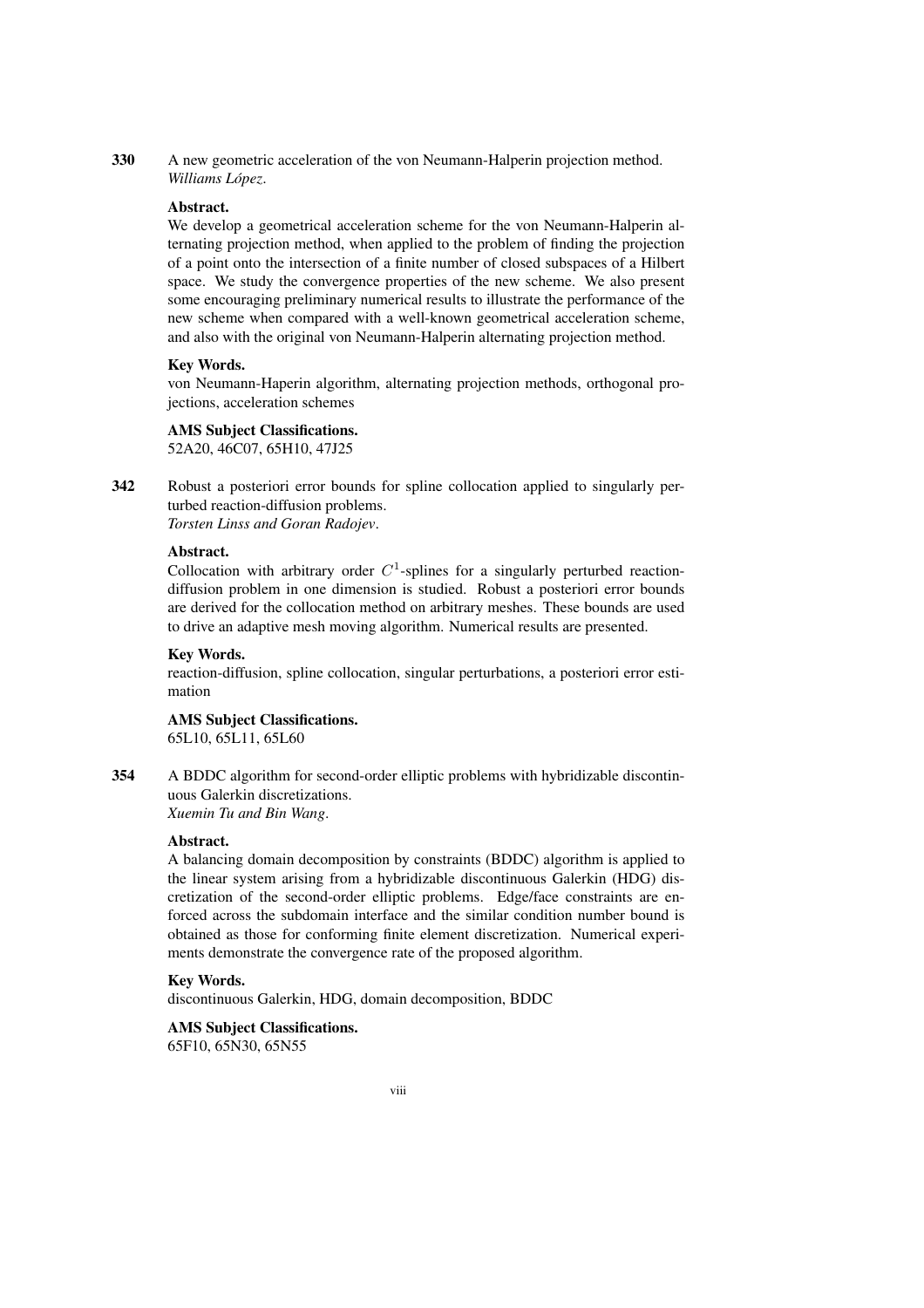330 A new geometric acceleration of the von Neumann-Halperin projection method. *Williams Lopez ´* .

#### Abstract.

We develop a geometrical acceleration scheme for the von Neumann-Halperin alternating projection method, when applied to the problem of finding the projection of a point onto the intersection of a finite number of closed subspaces of a Hilbert space. We study the convergence properties of the new scheme. We also present some encouraging preliminary numerical results to illustrate the performance of the new scheme when compared with a well-known geometrical acceleration scheme, and also with the original von Neumann-Halperin alternating projection method.

#### Key Words.

von Neumann-Haperin algorithm, alternating projection methods, orthogonal projections, acceleration schemes

#### AMS Subject Classifications.

52A20, 46C07, 65H10, 47J25

342 Robust a posteriori error bounds for spline collocation applied to singularly perturbed reaction-diffusion problems. *Torsten Linss and Goran Radojev*.

### Abstract.

Collocation with arbitrary order  $C<sup>1</sup>$ -splines for a singularly perturbed reactiondiffusion problem in one dimension is studied. Robust a posteriori error bounds are derived for the collocation method on arbitrary meshes. These bounds are used to drive an adaptive mesh moving algorithm. Numerical results are presented.

#### Key Words.

reaction-diffusion, spline collocation, singular perturbations, a posteriori error estimation

## AMS Subject Classifications.

65L10, 65L11, 65L60

354 A BDDC algorithm for second-order elliptic problems with hybridizable discontinuous Galerkin discretizations. *Xuemin Tu and Bin Wang*.

Abstract.

A balancing domain decomposition by constraints (BDDC) algorithm is applied to the linear system arising from a hybridizable discontinuous Galerkin (HDG) discretization of the second-order elliptic problems. Edge/face constraints are enforced across the subdomain interface and the similar condition number bound is obtained as those for conforming finite element discretization. Numerical experiments demonstrate the convergence rate of the proposed algorithm.

#### Key Words.

discontinuous Galerkin, HDG, domain decomposition, BDDC

### AMS Subject Classifications. 65F10, 65N30, 65N55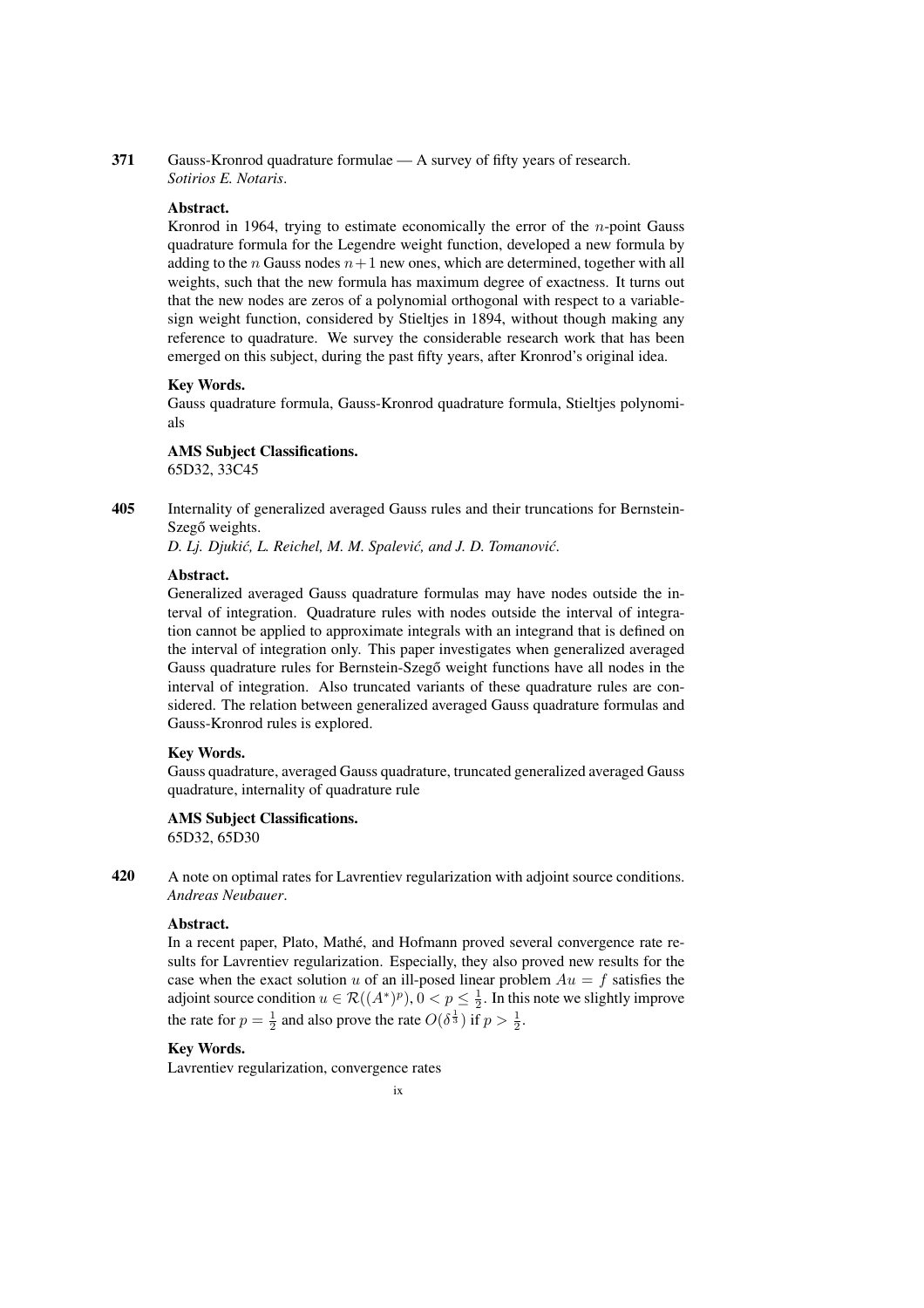371 Gauss-Kronrod quadrature formulae — A survey of fifty years of research. *Sotirios E. Notaris*.

#### Abstract.

Kronrod in 1964, trying to estimate economically the error of the  $n$ -point Gauss quadrature formula for the Legendre weight function, developed a new formula by adding to the  $n$  Gauss nodes  $n+1$  new ones, which are determined, together with all weights, such that the new formula has maximum degree of exactness. It turns out that the new nodes are zeros of a polynomial orthogonal with respect to a variablesign weight function, considered by Stielties in 1894, without though making any reference to quadrature. We survey the considerable research work that has been emerged on this subject, during the past fifty years, after Kronrod's original idea.

#### Key Words.

Gauss quadrature formula, Gauss-Kronrod quadrature formula, Stieltjes polynomials

AMS Subject Classifications. 65D32, 33C45

405 Internality of generalized averaged Gauss rules and their truncations for Bernstein-Szegő weights.

*D. Lj. Djukić, L. Reichel, M. M. Spalević, and J. D. Tomanović.* 

## Abstract.

Generalized averaged Gauss quadrature formulas may have nodes outside the interval of integration. Quadrature rules with nodes outside the interval of integration cannot be applied to approximate integrals with an integrand that is defined on the interval of integration only. This paper investigates when generalized averaged Gauss quadrature rules for Bernstein-Szegő weight functions have all nodes in the interval of integration. Also truncated variants of these quadrature rules are considered. The relation between generalized averaged Gauss quadrature formulas and Gauss-Kronrod rules is explored.

#### Key Words.

Gauss quadrature, averaged Gauss quadrature, truncated generalized averaged Gauss quadrature, internality of quadrature rule

## AMS Subject Classifications.

65D32, 65D30

420 A note on optimal rates for Lavrentiev regularization with adjoint source conditions. *Andreas Neubauer*.

## Abstract.

In a recent paper, Plato, Mathé, and Hofmann proved several convergence rate results for Lavrentiev regularization. Especially, they also proved new results for the case when the exact solution u of an ill-posed linear problem  $Au = f$  satisfies the adjoint source condition  $u \in \mathcal{R}((A^*)^p)$ ,  $0 < p \leq \frac{1}{2}$ . In this note we slightly improve the rate for  $p = \frac{1}{2}$  and also prove the rate  $O(\delta^{\frac{1}{3}})$  if  $p > \frac{1}{2}$ .

## Key Words.

Lavrentiev regularization, convergence rates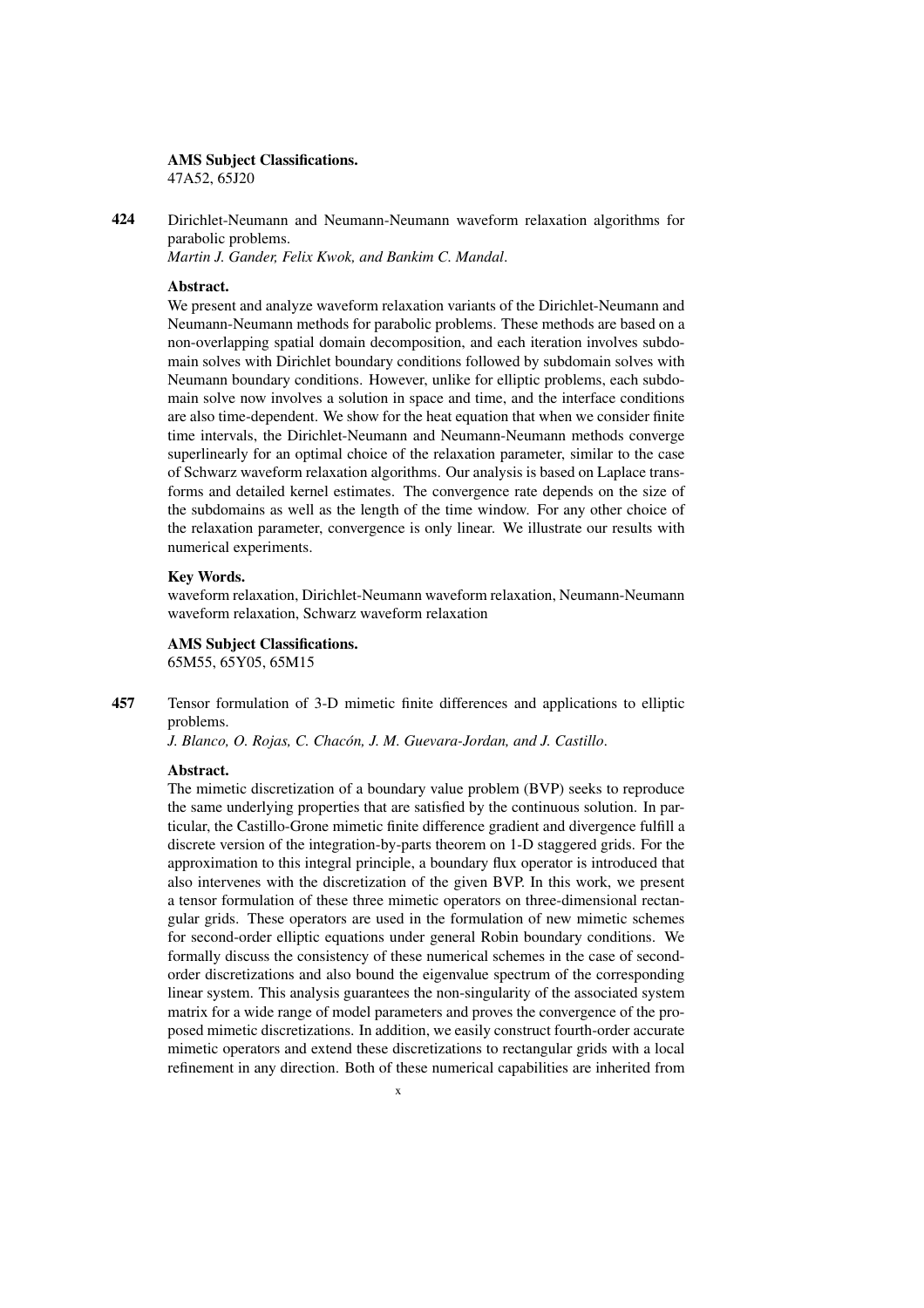## AMS Subject Classifications.

47A52, 65J20

424 Dirichlet-Neumann and Neumann-Neumann waveform relaxation algorithms for parabolic problems.

*Martin J. Gander, Felix Kwok, and Bankim C. Mandal*.

#### Abstract.

We present and analyze waveform relaxation variants of the Dirichlet-Neumann and Neumann-Neumann methods for parabolic problems. These methods are based on a non-overlapping spatial domain decomposition, and each iteration involves subdomain solves with Dirichlet boundary conditions followed by subdomain solves with Neumann boundary conditions. However, unlike for elliptic problems, each subdomain solve now involves a solution in space and time, and the interface conditions are also time-dependent. We show for the heat equation that when we consider finite time intervals, the Dirichlet-Neumann and Neumann-Neumann methods converge superlinearly for an optimal choice of the relaxation parameter, similar to the case of Schwarz waveform relaxation algorithms. Our analysis is based on Laplace transforms and detailed kernel estimates. The convergence rate depends on the size of the subdomains as well as the length of the time window. For any other choice of the relaxation parameter, convergence is only linear. We illustrate our results with numerical experiments.

## Key Words.

waveform relaxation, Dirichlet-Neumann waveform relaxation, Neumann-Neumann waveform relaxation, Schwarz waveform relaxation

#### AMS Subject Classifications.

65M55, 65Y05, 65M15

457 Tensor formulation of 3-D mimetic finite differences and applications to elliptic problems.

*J. Blanco, O. Rojas, C. Chacon, J. M. Guevara-Jordan, and J. Castillo ´* .

#### Abstract.

The mimetic discretization of a boundary value problem (BVP) seeks to reproduce the same underlying properties that are satisfied by the continuous solution. In particular, the Castillo-Grone mimetic finite difference gradient and divergence fulfill a discrete version of the integration-by-parts theorem on 1-D staggered grids. For the approximation to this integral principle, a boundary flux operator is introduced that also intervenes with the discretization of the given BVP. In this work, we present a tensor formulation of these three mimetic operators on three-dimensional rectangular grids. These operators are used in the formulation of new mimetic schemes for second-order elliptic equations under general Robin boundary conditions. We formally discuss the consistency of these numerical schemes in the case of secondorder discretizations and also bound the eigenvalue spectrum of the corresponding linear system. This analysis guarantees the non-singularity of the associated system matrix for a wide range of model parameters and proves the convergence of the proposed mimetic discretizations. In addition, we easily construct fourth-order accurate mimetic operators and extend these discretizations to rectangular grids with a local refinement in any direction. Both of these numerical capabilities are inherited from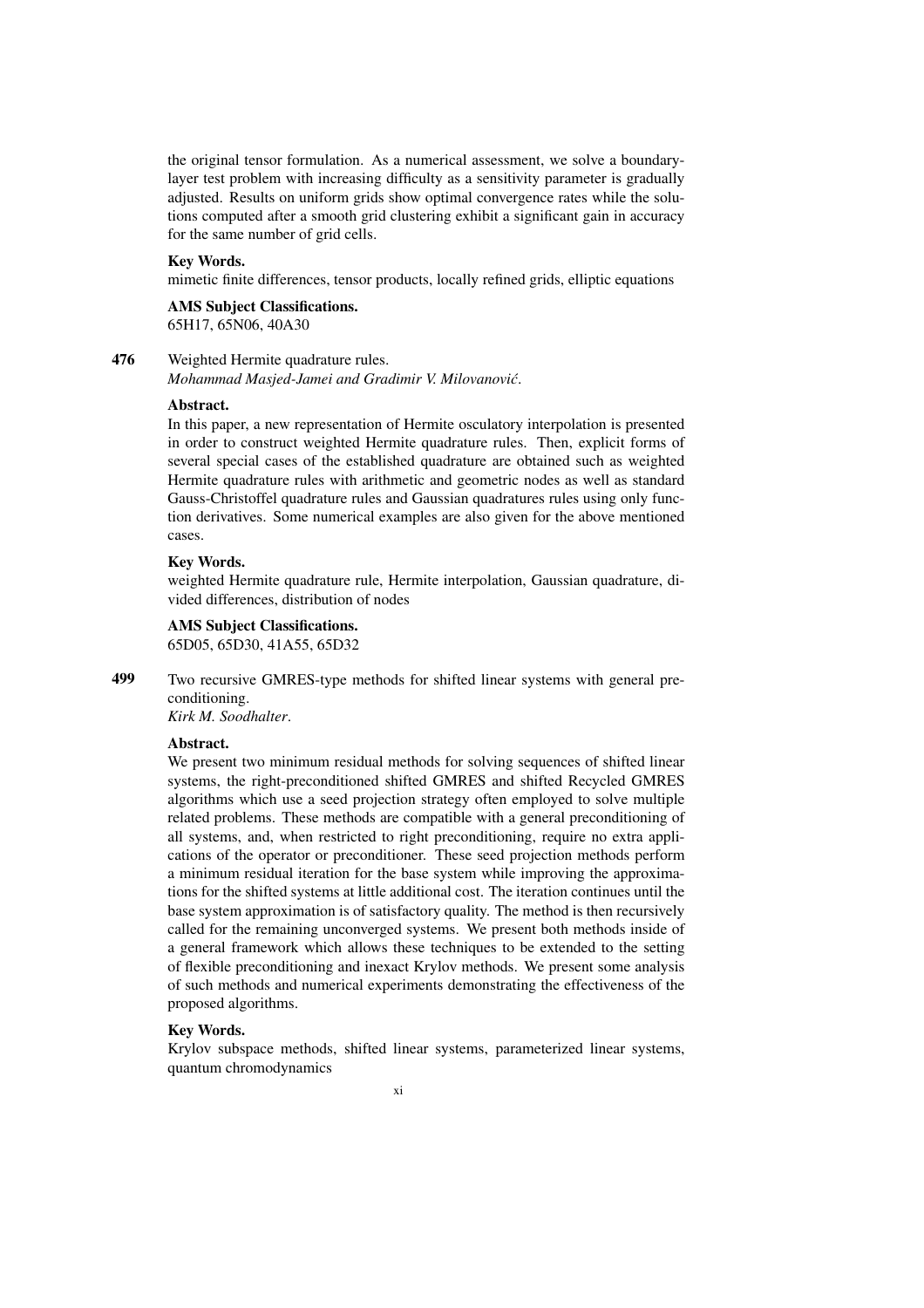the original tensor formulation. As a numerical assessment, we solve a boundarylayer test problem with increasing difficulty as a sensitivity parameter is gradually adjusted. Results on uniform grids show optimal convergence rates while the solutions computed after a smooth grid clustering exhibit a significant gain in accuracy for the same number of grid cells.

### Key Words.

mimetic finite differences, tensor products, locally refined grids, elliptic equations

## AMS Subject Classifications. 65H17, 65N06, 40A30

## 476 Weighted Hermite quadrature rules.

*Mohammad Masjed-Jamei and Gradimir V. Milovanovic´*.

#### Abstract.

In this paper, a new representation of Hermite osculatory interpolation is presented in order to construct weighted Hermite quadrature rules. Then, explicit forms of several special cases of the established quadrature are obtained such as weighted Hermite quadrature rules with arithmetic and geometric nodes as well as standard Gauss-Christoffel quadrature rules and Gaussian quadratures rules using only function derivatives. Some numerical examples are also given for the above mentioned cases.

#### Key Words.

weighted Hermite quadrature rule, Hermite interpolation, Gaussian quadrature, divided differences, distribution of nodes

## AMS Subject Classifications.

65D05, 65D30, 41A55, 65D32

499 Two recursive GMRES-type methods for shifted linear systems with general preconditioning.

*Kirk M. Soodhalter*.

## Abstract.

We present two minimum residual methods for solving sequences of shifted linear systems, the right-preconditioned shifted GMRES and shifted Recycled GMRES algorithms which use a seed projection strategy often employed to solve multiple related problems. These methods are compatible with a general preconditioning of all systems, and, when restricted to right preconditioning, require no extra applications of the operator or preconditioner. These seed projection methods perform a minimum residual iteration for the base system while improving the approximations for the shifted systems at little additional cost. The iteration continues until the base system approximation is of satisfactory quality. The method is then recursively called for the remaining unconverged systems. We present both methods inside of a general framework which allows these techniques to be extended to the setting of flexible preconditioning and inexact Krylov methods. We present some analysis of such methods and numerical experiments demonstrating the effectiveness of the proposed algorithms.

### Key Words.

Krylov subspace methods, shifted linear systems, parameterized linear systems, quantum chromodynamics